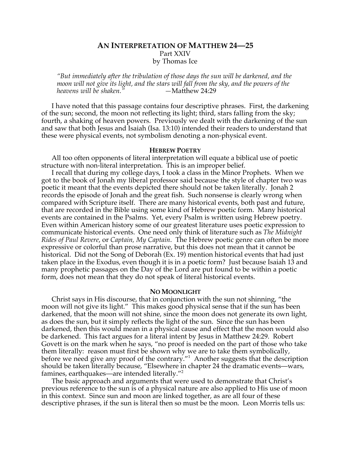## **AN INTERPRETATION OF MATTHEW 24—25** Part XXIV by Thomas Ice

*"But immediately after the tribulation of those days the sun will be darkened, and the moon will not give its light, and the stars will fall from the sky, and the powers of the heavens will be shaken.* 

I have noted that this passage contains four descriptive phrases. First, the darkening of the sun; second, the moon not reflecting its light; third, stars falling from the sky; fourth, a shaking of heaven powers. Previously we dealt with the darkening of the sun and saw that both Jesus and Isaiah (Isa. 13:10) intended their readers to understand that these were physical events, not symbolism denoting a non-physical event.

#### **HEBREW POETRY**

All too often opponents of literal interpretation will equate a biblical use of poetic structure with non-literal interpretation. This is an improper belief.

I recall that during my college days, I took a class in the Minor Prophets. When we got to the book of Jonah my liberal professor said because the style of chapter two was poetic it meant that the events depicted there should not be taken literally. Jonah 2 records the episode of Jonah and the great fish. Such nonsense is clearly wrong when compared with Scripture itself. There are many historical events, both past and future, that are recorded in the Bible using some kind of Hebrew poetic form. Many historical events are contained in the Psalms. Yet, every Psalm is written using Hebrew poetry. Even within American history some of our greatest literature uses poetic expression to communicate historical events. One need only think of literature such as *The Midnight Rides of Paul Revere*, or *Captain, My Captain*. The Hebrew poetic genre can often be more expressive or colorful than prose narrative, but this does not mean that it cannot be historical. Did not the Song of Deborah (Ex. 19) mention historical events that had just taken place in the Exodus, even though it is in a poetic form? Just because Isaiah 13 and many prophetic passages on the Day of the Lord are put found to be within a poetic form, does not mean that they do not speak of literal historical events.

#### **NO MOONLIGHT**

Christ says in His discourse, that in conjunction with the sun not shinning, "the moon will not give its light." This makes good physical sense that if the sun has been darkened, that the moon will not shine, since the moon does not generate its own light, as does the sun, but it simply reflects the light of the sun. Since the sun has been darkened, then this would mean in a physical cause and effect that the moon would also be darkened. This fact argues for a literal intent by Jesus in Matthew 24:29. Robert Govett is on the mark when he says, "no proof is needed on the part of those who take them literally: reason must first be shown why we are to take them symbolically, before we need give any proof of the contrary."<sup>1</sup> Another suggests that the description should be taken literally because, "Elsewhere in chapter 24 the dramatic events—wars, famines, earthquakes—are intended literally."<sup>2</sup>

The basic approach and arguments that were used to demonstrate that Christ's previous reference to the sun is of a physical nature are also applied to His use of moon in this context. Since sun and moon are linked together, as are all four of these descriptive phrases, if the sun is literal then so must be the moon. Leon Morris tells us: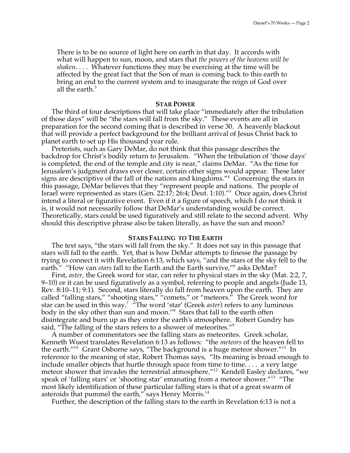There is to be no source of light here on earth in that day. It accords with what will happen to sun, moon, and stars that *the powers of the heavens will be shaken*. . . . Whatever functions they may be exercising at the time will be affected by the great fact that the Son of man is coming back to this earth to bring an end to the current system and to inaugurate the reign of God over all the earth.<sup>3</sup>

### **STAR POWER**

The third of four descriptions that will take place "immediately after the tribulation of those days" will be "the stars will fall from the sky." These events are all in preparation for the second coming that is described in verse 30. A heavenly blackout that will provide a perfect background for the brilliant arrival of Jesus Christ back to planet earth to set up His thousand year rule.

Preterists, such as Gary DeMar, do not think that this passage describes the backdrop for Christ's bodily return to Jerusalem. "When the tribulation of 'those days' is completed, the end of the temple and city is near," claims DeMar. "As the time for Jerusalem's judgment draws ever closer, certain other signs would appear. These later signs are descriptive of the fall of the nations and kingdoms."4 Concerning the stars in this passage, DeMar believes that they "represent people and nations. The people of Israel were represented as stars (Gen. 22:17; 26:4; Deut. 1:10)."<sup>5</sup> Once again, does Christ intend a literal or figurative event. Even if it a figure of speech, which I do not think it is, it would not necessarily follow that DeMar's understanding would be correct. Theoretically, stars could be used figuratively and still relate to the second advent. Why should this descriptive phrase also be taken literally, as have the sun and moon?

#### **STARS FALLING TO THE EARTH**

The text says, "the stars will fall from the sky." It does not say in this passage that stars will fall to the earth. Yet, that is how DeMar attempts to finesse the passage by trying to connect it with Revelation 6:13, which says, "and the stars of the sky fell to the earth." "How can *stars* fall to the Earth and the Earth survive,"<sup>6</sup> asks DeMar?

First, *aster,* the Greek word for star, can refer to physical stars in the sky (Mat. 2:2, 7, 9–10) or it can be used figuratively as a symbol, referring to people and angels (Jude 13, Rev. 8:10–11; 9:1). Second, stars literally do fall from heaven upon the earth. They are called "falling stars," "shooting stars," "comets," or "meteors." The Greek word for star can be used in this way.<sup>7</sup> The word 'star' (Greek *aster*) refers to any luminous body in the sky other than sun and moon."<sup>8</sup> Stars that fall to the earth often disintegrate and burn up as they enter the earth's atmosphere. Robert Gundry has said, "The falling of the stars refers to a shower of meteorites."<sup>9</sup>

A number of commentators see the falling stars as meteorites. Greek scholar, Kenneth Wuest translates Revelation 6:13 as follows: "the *meteors* of the heaven fell to the earth."<sup>10</sup> Grant Osborne says, "The background is a huge meteor shower."<sup>11</sup> In reference to the meaning of star, Robert Thomas says, "Its meaning is broad enough to include smaller objects that hurtle through space from time to time. . . . a very large meteor shower that invades the terrestrial atmosphere."12 Kendell Easley declares, "we speak of 'falling stars' or 'shooting star' emanating from a meteor shower."<sup>13</sup> "The most likely identification of these particular falling stars is that of a great swarm of asteroids that pummel the earth," says Henry Morris.<sup>14</sup>

Further, the description of the falling stars to the earth in Revelation 6:13 is not a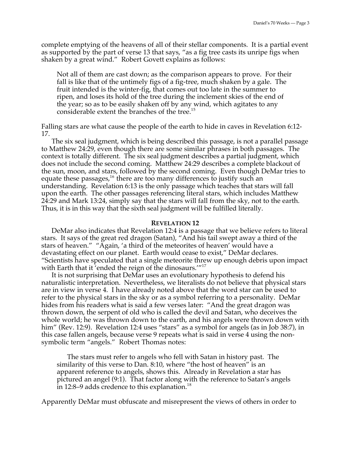complete emptying of the heavens of all of their stellar components. It is a partial event as supported by the part of verse 13 that says, "as a fig tree casts its unripe figs when shaken by a great wind." Robert Govett explains as follows:

Not all of them are cast down; as the comparison appears to prove. For their fall is like that of the untimely figs of a fig-tree, much shaken by a gale. The fruit intended is the winter-fig, that comes out too late in the summer to ripen, and loses its hold of the tree during the inclement skies of the end of the year; so as to be easily shaken off by any wind, which agitates to any considerable extent the branches of the tree.<sup>15</sup>

Falling stars are what cause the people of the earth to hide in caves in Revelation 6:12- 17.

The six seal judgment, which is being described this passage, is not a parallel passage to Matthew 24:29, even though there are some similar phrases in both passages. The context is totally different. The six seal judgment describes a partial judgment, which does not include the second coming. Matthew 24:29 describes a complete blackout of the sun, moon, and stars, followed by the second coming. Even though DeMar tries to equate these passages,<sup>16</sup> there are too many differences to justify such an understanding. Revelation 6:13 is the only passage which teaches that stars will fall upon the earth. The other passages referencing literal stars, which includes Matthew 24:29 and Mark 13:24, simply say that the stars will fall from the sky, not to the earth. Thus, it is in this way that the sixth seal judgment will be fulfilled literally.

## **REVELATION 12**

DeMar also indicates that Revelation 12:4 is a passage that we believe refers to literal stars. It says of the great red dragon (Satan), "And his tail swept away a third of the stars of heaven." "Again, 'a third of the meteorites of heaven' would have a devastating effect on our planet. Earth would cease to exist," DeMar declares. "Scientists have speculated that a single meteorite threw up enough debris upon impact with Earth that it 'ended the reign of the dinosaurs.'"<sup>17</sup>

It is not surprising that DeMar uses an evolutionary hypothesis to defend his naturalistic interpretation. Nevertheless, we literalists do not believe that physical stars are in view in verse 4. I have already noted above that the word star can be used to refer to the physical stars in the sky or as a symbol referring to a personality. DeMar hides from his readers what is said a few verses later: "And the great dragon was thrown down, the serpent of old who is called the devil and Satan, who deceives the whole world; he was thrown down to the earth, and his angels were thrown down with him" (Rev. 12:9). Revelation 12:4 uses "stars" as a symbol for angels (as in Job 38:7), in this case fallen angels, because verse 9 repeats what is said in verse 4 using the nonsymbolic term "angels." Robert Thomas notes:

The stars must refer to angels who fell with Satan in history past. The similarity of this verse to Dan. 8:10, where "the host of heaven" is an apparent reference to angels, shows this. Already in Revelation a star has pictured an angel (9:1). That factor along with the reference to Satan's angels in 12:8–9 adds credence to this explanation.<sup>18</sup>

Apparently DeMar must obfuscate and misrepresent the views of others in order to